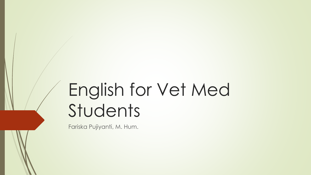# English for Vet Med Students

Fariska Pujiyanti, M. Hum.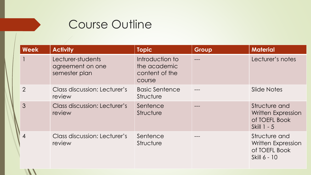$\overline{\phantom{a}}$ 

| <b>Week</b>    | <b>Activity</b>                                        | <b>Topic</b>                                                | Group | <b>Material</b>                                                            |
|----------------|--------------------------------------------------------|-------------------------------------------------------------|-------|----------------------------------------------------------------------------|
|                | Lecturer-students<br>agreement on one<br>semester plan | Introduction to<br>the academic<br>content of the<br>course |       | Lecturer's notes                                                           |
| $\overline{2}$ | Class discussion: Lecturer's<br>review                 | <b>Basic Sentence</b><br>Structure                          |       | <b>Slide Notes</b>                                                         |
| 3              | Class discussion: Lecturer's<br>review                 | Sentence<br>Structure                                       |       | Structure and<br><b>Written Expression</b><br>of TOEFL Book<br>Skill 1 - 5 |
| 4              | Class discussion: Lecturer's<br>review                 | Sentence<br>Structure                                       |       | Structure and<br>Written Expression<br>of TOEFL Book<br>Skill 6 - 10       |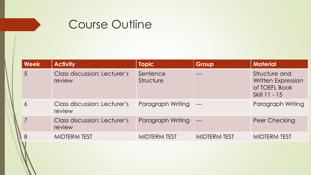| Week                | <b>Activity</b>                        | <b>Topic</b>           | Group               | <b>Material</b>                                                              |
|---------------------|----------------------------------------|------------------------|---------------------|------------------------------------------------------------------------------|
| $\overline{5}$      | Class discussion: Lecturer's<br>review | Sentence<br>Structure  |                     | Structure and<br><b>Written Expression</b><br>of TOEFL Book<br>Skill 11 - 15 |
| $\overline{6}$      | Class discussion: Lecturer's<br>review | Paragraph Writing  --- |                     | Paragraph Writing                                                            |
|                     | Class discussion: Lecturer's<br>review | Paragraph Writing      | $---$               | Peer Checking                                                                |
| 8<br>$\blacksquare$ | <b>MIDTERM TEST</b>                    | <b>MIDTERM TEST</b>    | <b>MIDTERM TEST</b> | <b>MIDTERM TEST</b>                                                          |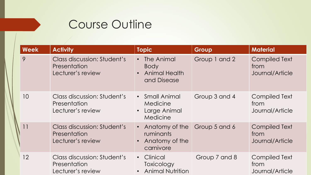| Week | <b>Activity</b>                                                  | <b>Topic</b>                                                                               | Group         | <b>Material</b>                                 |
|------|------------------------------------------------------------------|--------------------------------------------------------------------------------------------|---------------|-------------------------------------------------|
| 9    | Class discussion: Student's<br>Presentation<br>Lecturer's review | The Animal<br>$\bullet$<br><b>Body</b><br><b>Animal Health</b><br>$\bullet$<br>and Disease | Group 1 and 2 | <b>Compiled Text</b><br>from<br>Journal/Article |
| 10   | Class discussion: Student's<br>Presentation<br>Lecturer's review | <b>Small Animal</b><br>$\bullet$<br>Medicine<br>Large Animal<br>$\bullet$<br>Medicine      | Group 3 and 4 | <b>Compiled Text</b><br>from<br>Journal/Article |
| 11   | Class discussion: Student's<br>Presentation<br>Lecturer's review | • Anatomy of the<br>ruminants<br>Anatomy of the<br>carnivore                               | Group 5 and 6 | <b>Compiled Text</b><br>from<br>Journal/Article |
| 12   | Class discussion: Student's<br>Presentation<br>Lecturer's review | <b>Clinical</b><br>$\bullet$<br>Toxicology<br><b>Animal Nutrition</b><br>$\bullet$         | Group 7 and 8 | <b>Compiled Text</b><br>from<br>Journal/Article |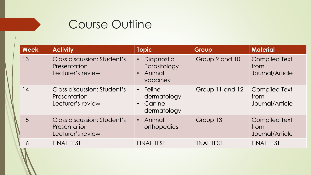| <b>Week</b> | <b>Activity</b>                                                  | <b>Topic</b>                                                    | Group             | <b>Material</b>                                 |
|-------------|------------------------------------------------------------------|-----------------------------------------------------------------|-------------------|-------------------------------------------------|
| 13          | Class discussion: Student's<br>Presentation<br>Lecturer's review | Diagnostic<br>Parasitology<br>Animal<br>vaccines                | Group 9 and 10    | <b>Compiled Text</b><br>from<br>Journal/Article |
| 14          | Class discussion: Student's<br>Presentation<br>Lecturer's review | • Feline<br>dermatology<br>Canine<br>$\bullet$ .<br>dermatology | Group 11 and 12   | <b>Compiled Text</b><br>from<br>Journal/Article |
| 15          | Class discussion: Student's<br>Presentation<br>Lecturer's review | • Animal<br>orthopedics                                         | Group 13          | <b>Compiled Text</b><br>from<br>Journal/Article |
| 16          | <b>FINAL TEST</b>                                                | <b>FINAL TEST</b>                                               | <b>FINAL TEST</b> | <b>FINAL TEST</b>                               |